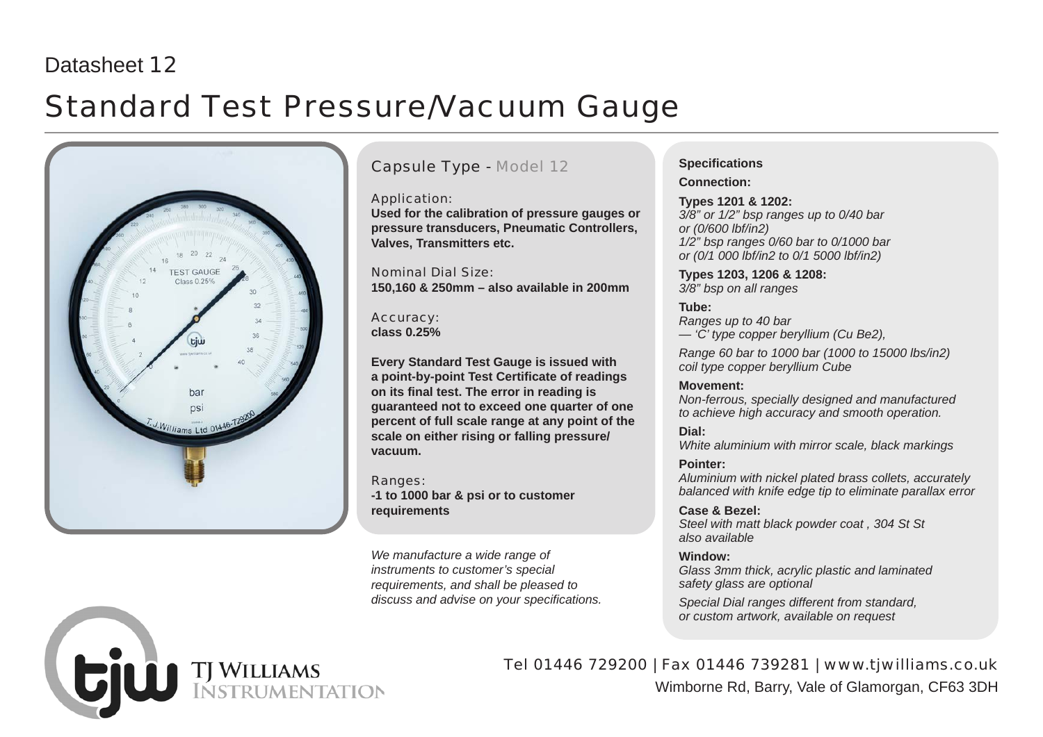## Datasheet 12

# Standard Test Pressure/Vacuum Gauge



### Capsule Type - Model 12

Application:

**Used for the calibration of pressure gauges or pressure transducers, Pneumatic Controllers, Valves, Transmitters etc.**

Nominal Dial Size: **150,160 & 250mm – also available in 200mm**

Accuracy: **class 0.25%**

**Every Standard Test Gauge is issued with a point-by-point Test Certificate of readings on its final test. The error in reading is guaranteed not to exceed one quarter of one percent of full scale range at any point of the scale on either rising or falling pressure/ vacuum.**

Ranges: **-1 to 1000 bar & psi or to customer requirements**

*We manufacture a wide range of instruments to customer's special requirements, and shall be pleased to discuss and advise on your specifications.*

### **Specifications**

**Connection:**

**Types 1201 & 1202:** *3/8" or 1/2" bsp ranges up to 0/40 bar or (0/600 lbf/in2) 1/2" bsp ranges 0/60 bar to 0/1000 bar or (0/1 000 lbf/in2 to 0/1 5000 lbf/in2)*

**Types 1203, 1206 & 1208:** *3/8" bsp on all ranges*

**Tube:** *Ranges up to 40 bar — 'C' type copper beryllium (Cu Be2),*

*Range 60 bar to 1000 bar (1000 to 15000 lbs/in2) coil type copper beryllium Cube*

### **Movement:**

*Non-ferrous, specially designed and manufactured to achieve high accuracy and smooth operation.*

### **Dial:**

*White aluminium with mirror scale, black markings*

### **Pointer:**

*Aluminium with nickel plated brass collets, accurately balanced with knife edge tip to eliminate parallax error*

### **Case & Bezel:**

*Steel with matt black powder coat , 304 St St also available*

### **Window:**

*Glass 3mm thick, acrylic plastic and laminated safety glass are optional*

*Special Dial ranges different from standard, or custom artwork, available on request*



Tel 01446 729200 | Fax 01446 739281 | www.tjwilliams.co.uk Wimborne Rd, Barry, Vale of Glamorgan, CF63 3DH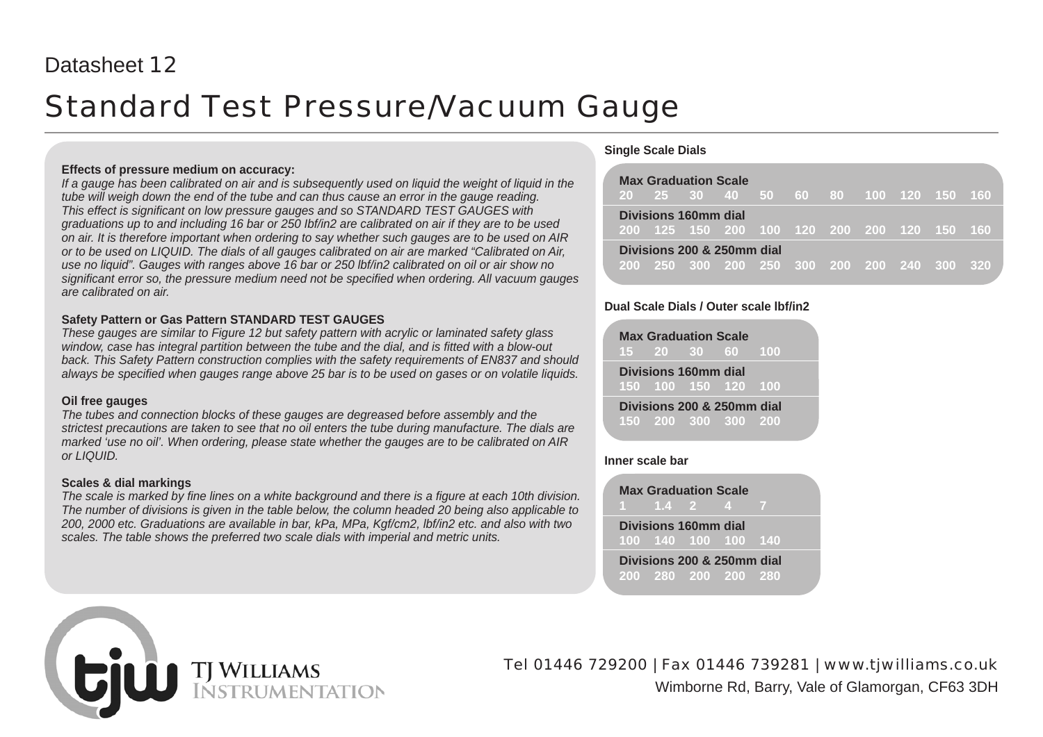## Datasheet 12

# Standard Test Pressure/Vacuum Gauge

#### **Effects of pressure medium on accuracy:**

*If a gauge has been calibrated on air and is subsequently used on liquid the weight of liquid in the tube will weigh down the end of the tube and can thus cause an error in the gauge reading. This effect is significant on low pressure gauges and so STANDARD TEST GAUGES with graduations up to and including 16 bar or 250 Ibf/in2 are calibrated on air if they are to be used on air. It is therefore important when ordering to say whether such gauges are to be used on AIR or to be used on LIQUID. The dials of all gauges calibrated on air are marked "Calibrated on Air, use no liquid". Gauges with ranges above 16 bar or 250 lbf/in2 calibrated on oil or air show no significant error so, the pressure medium need not be specified when ordering. All vacuum gauges are calibrated on air.*

### **Safety Pattern or Gas Pattern STANDARD TEST GAUGES**

*These gauges are similar to Figure 12 but safety pattern with acrylic or laminated safety glass window, case has integral partition between the tube and the dial, and is fitted with a blow-out back. This Safety Pattern construction complies with the safety requirements of EN837 and should always be specified when gauges range above 25 bar is to be used on gases or on volatile liquids.*

#### **Oil free gauges**

*The tubes and connection blocks of these gauges are degreased before assembly and the strictest precautions are taken to see that no oil enters the tube during manufacture. The dials are marked 'use no oil'. When ordering, please state whether the gauges are to be calibrated on AIR or LIQUID.*

### **Scales & dial markings**

*The scale is marked by fine lines on a white background and there is a figure at each 10th division. The number of divisions is given in the table below, the column headed 20 being also applicable to 200, 2000 etc. Graduations are available in bar, kPa, MPa, Kgf/cm2, lbf/in2 etc. and also with two scales. The table shows the preferred two scale dials with imperial and metric units.*

### **Single Scale Dials**

|  | <b>Max Graduation Scale</b><br>20  25  30  40  50  60  80  100  120  150  160 |  |  |  |  |
|--|-------------------------------------------------------------------------------|--|--|--|--|
|  | Divisions 160mm dial<br>200 125 150 200 100 120 200 200 120 150 160           |  |  |  |  |
|  | Divisions 200 & 250mm dial<br>200 250 300 200 250 300 200 200 240 300 320     |  |  |  |  |

### **Dual Scale Dials / Outer scale lbf/in2**

|  | <b>Max Graduation Scale</b> | 15 20 30 60 100                                   |  |
|--|-----------------------------|---------------------------------------------------|--|
|  | Divisions 160mm dial        | 150 100 150 120 100                               |  |
|  |                             | Divisions 200 & 250mm dial<br>150 200 300 300 200 |  |

### **Inner scale bar**

**Max Graduation Scale 1 1.4 2 4 7 Divisions 160mm dial 100 140 100 100 140**

**Divisions 200 & 250mm dial 200 280 200 200 280**



Tel 01446 729200 | Fax 01446 739281 | www.tjwilliams.co.uk Wimborne Rd, Barry, Vale of Glamorgan, CF63 3DH